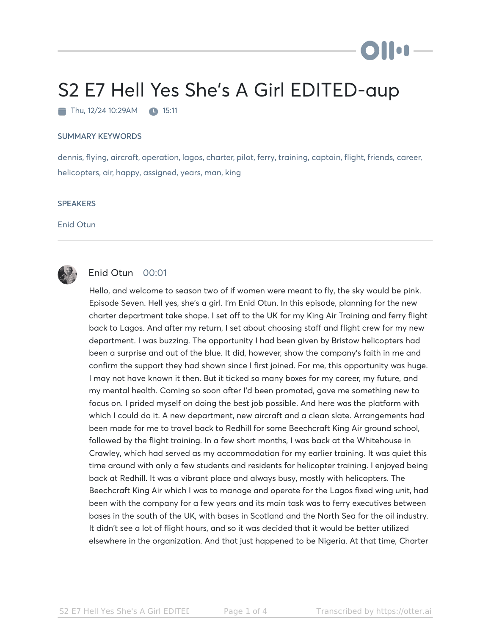## S2 E7 Hell Yes She's A Girl EDITED-aup

 $\blacksquare$  Thu, 12/24 10:29AM  $\blacksquare$  15:11

## SUMMARY KEYWORDS

dennis, flying, aircraft, operation, lagos, charter, pilot, ferry, training, captain, flight, friends, career, helicopters, air, happy, assigned, years, man, king

## **SPEAKERS**

Enid Otun



## Enid Otun 00:01

Hello, and welcome to season two of if women were meant to fly, the sky would be pink. Episode Seven. Hell yes, she's a girl. I'm Enid Otun. In this episode, planning for the new charter department take shape. I set off to the UK for my King Air Training and ferry flight back to Lagos. And after my return, I set about choosing staff and flight crew for my new department. I was buzzing. The opportunity I had been given by Bristow helicopters had been a surprise and out of the blue. It did, however, show the company's faith in me and confirm the support they had shown since I first joined. For me, this opportunity was huge. I may not have known it then. But it ticked so many boxes for my career, my future, and my mental health. Coming so soon after I'd been promoted, gave me something new to focus on. I prided myself on doing the best job possible. And here was the platform with which I could do it. A new department, new aircraft and a clean slate. Arrangements had been made for me to travel back to Redhill for some Beechcraft King Air ground school, followed by the flight training. In a few short months, I was back at the Whitehouse in Crawley, which had served as my accommodation for my earlier training. It was quiet this time around with only a few students and residents for helicopter training. I enjoyed being back at Redhill. It was a vibrant place and always busy, mostly with helicopters. The Beechcraft King Air which I was to manage and operate for the Lagos fixed wing unit, had been with the company for a few years and its main task was to ferry executives between bases in the south of the UK, with bases in Scotland and the North Sea for the oil industry. It didn't see a lot of flight hours, and so it was decided that it would be better utilized elsewhere in the organization. And that just happened to be Nigeria. At that time, Charter

**Ollu**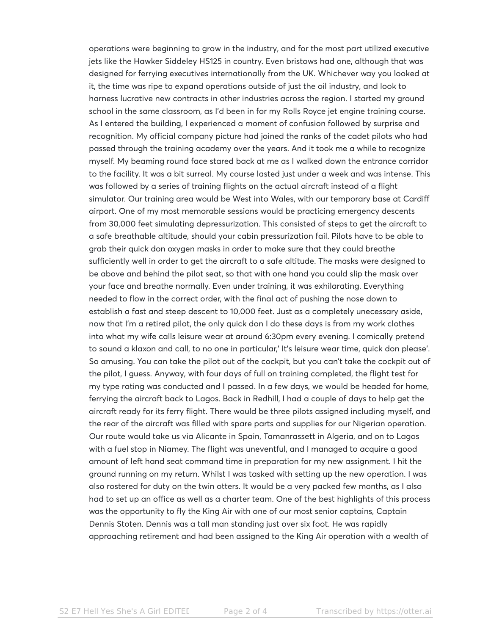operations were beginning to grow in the industry, and for the most part utilized executive jets like the Hawker Siddeley HS125 in country. Even bristows had one, although that was designed for ferrying executives internationally from the UK. Whichever way you looked at it, the time was ripe to expand operations outside of just the oil industry, and look to harness lucrative new contracts in other industries across the region. I started my ground school in the same classroom, as I'd been in for my Rolls Royce jet engine training course. As I entered the building, I experienced a moment of confusion followed by surprise and recognition. My official company picture had joined the ranks of the cadet pilots who had passed through the training academy over the years. And it took me a while to recognize myself. My beaming round face stared back at me as I walked down the entrance corridor to the facility. It was a bit surreal. My course lasted just under a week and was intense. This was followed by a series of training flights on the actual aircraft instead of a flight simulator. Our training area would be West into Wales, with our temporary base at Cardiff airport. One of my most memorable sessions would be practicing emergency descents from 30,000 feet simulating depressurization. This consisted of steps to get the aircraft to a safe breathable altitude, should your cabin pressurization fail. Pilots have to be able to grab their quick don oxygen masks in order to make sure that they could breathe sufficiently well in order to get the aircraft to a safe altitude. The masks were designed to be above and behind the pilot seat, so that with one hand you could slip the mask over your face and breathe normally. Even under training, it was exhilarating. Everything needed to flow in the correct order, with the final act of pushing the nose down to establish a fast and steep descent to 10,000 feet. Just as a completely unecessary aside, now that I'm a retired pilot, the only quick don I do these days is from my work clothes into what my wife calls leisure wear at around 6:30pm every evening. I comically pretend to sound a klaxon and call, to no one in particular,' It's leisure wear time, quick don please'. So amusing. You can take the pilot out of the cockpit, but you can't take the cockpit out of the pilot, I guess. Anyway, with four days of full on training completed, the flight test for my type rating was conducted and I passed. In a few days, we would be headed for home, ferrying the aircraft back to Lagos. Back in Redhill, I had a couple of days to help get the aircraft ready for its ferry flight. There would be three pilots assigned including myself, and the rear of the aircraft was filled with spare parts and supplies for our Nigerian operation. Our route would take us via Alicante in Spain, Tamanrassett in Algeria, and on to Lagos with a fuel stop in Niamey. The flight was uneventful, and I managed to acquire a good amount of left hand seat command time in preparation for my new assignment. I hit the ground running on my return. Whilst I was tasked with setting up the new operation. I was also rostered for duty on the twin otters. It would be a very packed few months, as I also had to set up an office as well as a charter team. One of the best highlights of this process was the opportunity to fly the King Air with one of our most senior captains, Captain Dennis Stoten. Dennis was a tall man standing just over six foot. He was rapidly approaching retirement and had been assigned to the King Air operation with a wealth of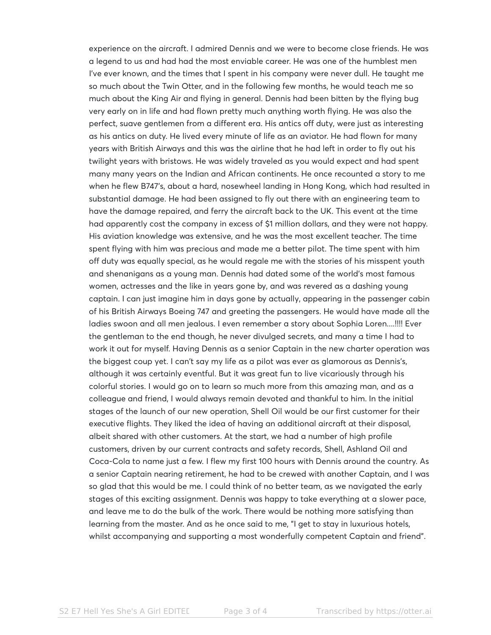experience on the aircraft. I admired Dennis and we were to become close friends. He was a legend to us and had had the most enviable career. He was one of the humblest men I've ever known, and the times that I spent in his company were never dull. He taught me so much about the Twin Otter, and in the following few months, he would teach me so much about the King Air and flying in general. Dennis had been bitten by the flying bug very early on in life and had flown pretty much anything worth flying. He was also the perfect, suave gentlemen from a different era. His antics off duty, were just as interesting as his antics on duty. He lived every minute of life as an aviator. He had flown for many years with British Airways and this was the airline that he had left in order to fly out his twilight years with bristows. He was widely traveled as you would expect and had spent many many years on the Indian and African continents. He once recounted a story to me when he flew B747's, about a hard, nosewheel landing in Hong Kong, which had resulted in substantial damage. He had been assigned to fly out there with an engineering team to have the damage repaired, and ferry the aircraft back to the UK. This event at the time had apparently cost the company in excess of \$1 million dollars, and they were not happy. His aviation knowledge was extensive, and he was the most excellent teacher. The time spent flying with him was precious and made me a better pilot. The time spent with him off duty was equally special, as he would regale me with the stories of his misspent youth and shenanigans as a young man. Dennis had dated some of the world's most famous women, actresses and the like in years gone by, and was revered as a dashing young captain. I can just imagine him in days gone by actually, appearing in the passenger cabin of his British Airways Boeing 747 and greeting the passengers. He would have made all the ladies swoon and all men jealous. I even remember a story about Sophia Loren....!!!! Ever the gentleman to the end though, he never divulged secrets, and many a time I had to work it out for myself. Having Dennis as a senior Captain in the new charter operation was the biggest coup yet. I can't say my life as a pilot was ever as glamorous as Dennis's, although it was certainly eventful. But it was great fun to live vicariously through his colorful stories. I would go on to learn so much more from this amazing man, and as a colleague and friend, I would always remain devoted and thankful to him. In the initial stages of the launch of our new operation, Shell Oil would be our first customer for their executive flights. They liked the idea of having an additional aircraft at their disposal, albeit shared with other customers. At the start, we had a number of high profile customers, driven by our current contracts and safety records, Shell, Ashland Oil and Coca-Cola to name just a few. I flew my first 100 hours with Dennis around the country. As a senior Captain nearing retirement, he had to be crewed with another Captain, and I was so glad that this would be me. I could think of no better team, as we navigated the early stages of this exciting assignment. Dennis was happy to take everything at a slower pace, and leave me to do the bulk of the work. There would be nothing more satisfying than learning from the master. And as he once said to me, "I get to stay in luxurious hotels, whilst accompanying and supporting a most wonderfully competent Captain and friend".